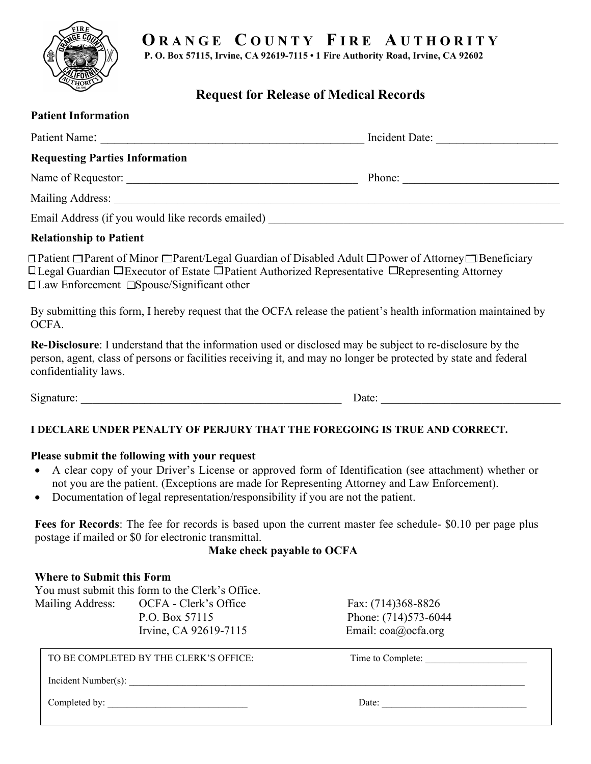# **O R A N G E C O U N T Y F I R E A U T H O R I T Y**

**P. O. Box 57115, Irvine, CA 92619-7115 • 1 Fire Authority Road, Irvine, CA 92602**

## **Request for Release of Medical Records**

| <b>Patient Information</b>            |                                                                                                                                   |                                                                                                                                                                                                                              |
|---------------------------------------|-----------------------------------------------------------------------------------------------------------------------------------|------------------------------------------------------------------------------------------------------------------------------------------------------------------------------------------------------------------------------|
|                                       |                                                                                                                                   |                                                                                                                                                                                                                              |
| <b>Requesting Parties Information</b> |                                                                                                                                   |                                                                                                                                                                                                                              |
|                                       |                                                                                                                                   |                                                                                                                                                                                                                              |
|                                       |                                                                                                                                   |                                                                                                                                                                                                                              |
|                                       |                                                                                                                                   |                                                                                                                                                                                                                              |
| <b>Relationship to Patient</b>        |                                                                                                                                   |                                                                                                                                                                                                                              |
|                                       | $\Box$ Law Enforcement $\Box$ Spouse/Significant other                                                                            | □ Patient □ Parent of Minor □ Parent/Legal Guardian of Disabled Adult □ Power of Attorney □ Beneficiary<br>□Legal Guardian □Executor of Estate □Patient Authorized Representative □Representing Attorney                     |
| OCFA.                                 |                                                                                                                                   | By submitting this form, I hereby request that the OCFA release the patient's health information maintained by                                                                                                               |
| confidentiality laws.                 |                                                                                                                                   | Re-Disclosure: I understand that the information used or disclosed may be subject to re-disclosure by the<br>person, agent, class of persons or facilities receiving it, and may no longer be protected by state and federal |
|                                       |                                                                                                                                   | Date:                                                                                                                                                                                                                        |
|                                       |                                                                                                                                   | I DECLARE UNDER PENALTY OF PERJURY THAT THE FOREGOING IS TRUE AND CORRECT.                                                                                                                                                   |
|                                       |                                                                                                                                   |                                                                                                                                                                                                                              |
| $\bullet$                             | Please submit the following with your request<br>Documentation of legal representation/responsibility if you are not the patient. | A clear copy of your Driver's License or approved form of Identification (see attachment) whether or<br>not you are the patient. (Exceptions are made for Representing Attorney and Law Enforcement).                        |
|                                       | postage if mailed or \$0 for electronic transmittal.<br>Make check payable to OCFA                                                | Fees for Records: The fee for records is based upon the current master fee schedule- \$0.10 per page plus                                                                                                                    |
| <b>Where to Submit this Form</b>      |                                                                                                                                   |                                                                                                                                                                                                                              |
|                                       | You must submit this form to the Clerk's Office.                                                                                  |                                                                                                                                                                                                                              |
| Mailing Address:                      | OCFA - Clerk's Office<br>P.O. Box 57115                                                                                           | Fax: (714)368-8826<br>Phone: (714)573-6044                                                                                                                                                                                   |
|                                       | Irvine, CA 92619-7115                                                                                                             | Email: coa@ocfa.org                                                                                                                                                                                                          |

TO BE COMPLETED BY THE CLERK'S OFFICE: Time to Complete:

Incident Number(s): \_\_\_\_\_\_\_\_\_\_\_\_\_\_\_\_\_\_\_\_\_\_\_\_\_\_\_\_\_\_\_\_\_\_\_\_\_\_\_\_\_\_\_\_\_\_\_\_\_\_\_\_\_\_\_\_\_\_\_\_\_\_\_\_\_\_\_\_\_\_\_\_\_\_\_\_\_\_\_\_\_\_

Completed by: \_\_\_\_\_\_\_\_\_\_\_\_\_\_\_\_\_\_\_\_\_\_\_\_\_\_\_\_\_ Date: \_\_\_\_\_\_\_\_\_\_\_\_\_\_\_\_\_\_\_\_\_\_\_\_\_\_\_\_\_\_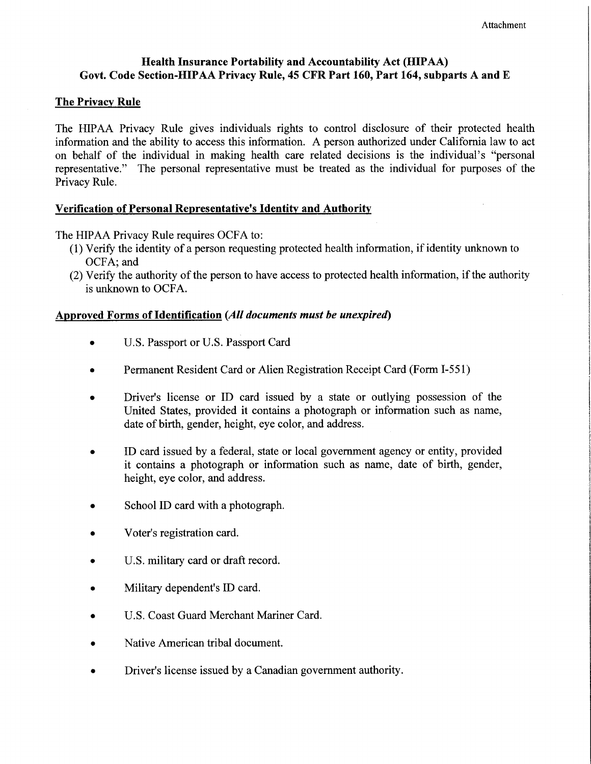### **Health Insurance Portability and Accountability Act (HIPAA)** Govt. Code Section-HIPAA Privacy Rule, 45 CFR Part 160, Part 164, subparts A and E

#### **The Privacy Rule**

The HIPAA Privacy Rule gives individuals rights to control disclosure of their protected health information and the ability to access this information. A person authorized under California law to act on behalf of the individual in making health care related decisions is the individual's "personal representative." The personal representative must be treated as the individual for purposes of the Privacy Rule.

#### Verification of Personal Representative's Identity and Authority

The HIPAA Privacy Rule requires OCFA to:

- (1) Verify the identity of a person requesting protected health information, if identity unknown to OCFA; and
- (2) Verify the authority of the person to have access to protected health information, if the authority is unknown to OCFA.

#### Approved Forms of Identification (All documents must be unexpired)

- U.S. Passport or U.S. Passport Card  $\bullet$
- Permanent Resident Card or Alien Registration Receipt Card (Form I-551)
- Driver's license or ID card issued by a state or outlying possession of the  $\bullet$ United States, provided it contains a photograph or information such as name, date of birth, gender, height, eye color, and address.
- ID card issued by a federal, state or local government agency or entity, provided it contains a photograph or information such as name, date of birth, gender, height, eye color, and address.
- School ID card with a photograph.
- Voter's registration card.
- U.S. military card or draft record.
- Military dependent's ID card.
- U.S. Coast Guard Merchant Mariner Card.
- Native American tribal document.
- Driver's license issued by a Canadian government authority.